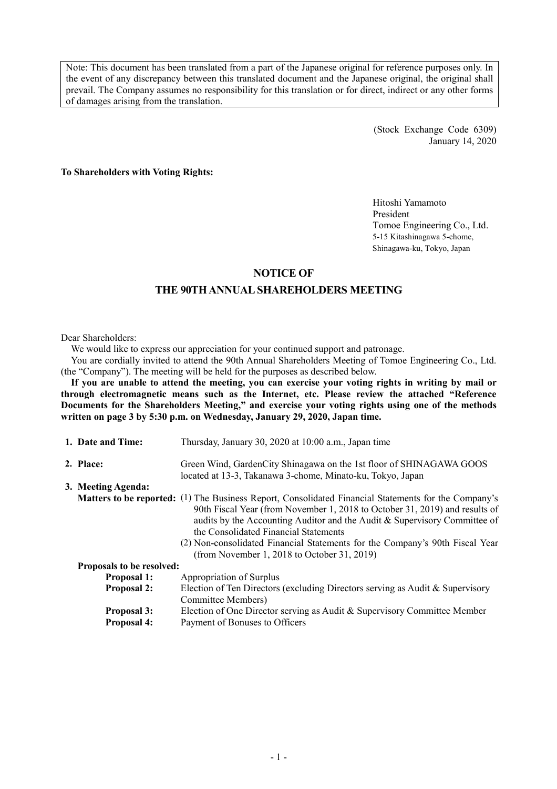Note: This document has been translated from a part of the Japanese original for reference purposes only. In the event of any discrepancy between this translated document and the Japanese original, the original shall prevail. The Company assumes no responsibility for this translation or for direct, indirect or any other forms of damages arising from the translation.

> (Stock Exchange Code 6309) January 14, 2020

**To Shareholders with Voting Rights:**

Hitoshi Yamamoto President Tomoe Engineering Co., Ltd. 5-15 Kitashinagawa 5-chome, Shinagawa-ku, Tokyo, Japan

# **NOTICE OF**

# **THE 90THANNUALSHAREHOLDERS MEETING**

Dear Shareholders:

We would like to express our appreciation for your continued support and patronage.

You are cordially invited to attend the 90th Annual Shareholders Meeting of Tomoe Engineering Co., Ltd. (the "Company"). The meeting will be held for the purposes as described below.

If you are unable to attend the meeting, you can exercise your voting rights in writing by mail or **through electromagnetic means such as the Internet, etc. Please review the attached "Reference Documents for the Shareholders Meeting," and exercise your voting rights using one of the methods written on page 3 by 5:30 p.m. on Wednesday, January 29, 2020, Japan time.**

| 1. Date and Time:                | Thursday, January 30, 2020 at 10:00 a.m., Japan time                                                                                                                                                                                                                                                                                                                                                                                            |
|----------------------------------|-------------------------------------------------------------------------------------------------------------------------------------------------------------------------------------------------------------------------------------------------------------------------------------------------------------------------------------------------------------------------------------------------------------------------------------------------|
| 2. Place:                        | Green Wind, Garden City Shinagawa on the 1st floor of SHINAGAWA GOOS<br>located at 13-3, Takanawa 3-chome, Minato-ku, Tokyo, Japan                                                                                                                                                                                                                                                                                                              |
| 3. Meeting Agenda:               |                                                                                                                                                                                                                                                                                                                                                                                                                                                 |
|                                  | <b>Matters to be reported:</b> (1) The Business Report, Consolidated Financial Statements for the Company's<br>90th Fiscal Year (from November 1, 2018 to October 31, 2019) and results of<br>audits by the Accounting Auditor and the Audit & Supervisory Committee of<br>the Consolidated Financial Statements<br>(2) Non-consolidated Financial Statements for the Company's 90th Fiscal Year<br>(from November 1, 2018 to October 31, 2019) |
| <b>Proposals to be resolved:</b> |                                                                                                                                                                                                                                                                                                                                                                                                                                                 |
| <b>Proposal 1:</b>               | Appropriation of Surplus                                                                                                                                                                                                                                                                                                                                                                                                                        |
| <b>Proposal 2:</b>               | Election of Ten Directors (excluding Directors serving as Audit & Supervisory<br>Committee Members)                                                                                                                                                                                                                                                                                                                                             |
| <b>Proposal 3:</b>               | Election of One Director serving as Audit & Supervisory Committee Member                                                                                                                                                                                                                                                                                                                                                                        |
| <b>Proposal 4:</b>               | Payment of Bonuses to Officers                                                                                                                                                                                                                                                                                                                                                                                                                  |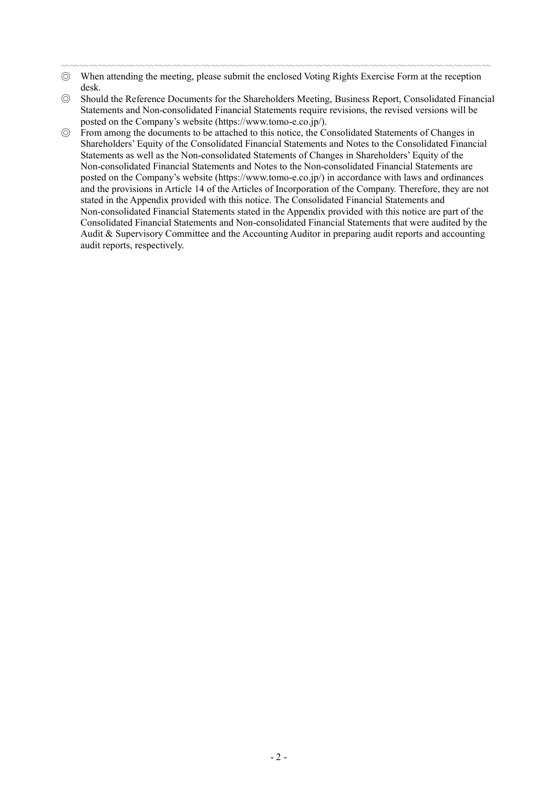- 〰〰〰〰〰〰〰〰〰〰〰〰〰〰〰〰〰〰〰〰〰〰〰〰〰〰〰〰〰〰〰〰〰〰〰〰〰〰〰〰〰〰〰〰〰〰
- ◎ When attending the meeting, please submit the enclosed Voting Rights Exercise Form at the reception desk.
- ◎ Should the Reference Documents for the Shareholders Meeting, Business Report, Consolidated Financial Statements and Non-consolidated Financial Statements require revisions, the revised versions will be posted on the Company's website [\(https://www.tomo-e.co.jp/\).](https://www.tomo-e.co.jp/)
- ◎ From among the documents to be attached to this notice, the Consolidated Statements of Changes in Shareholders' Equity of the Consolidated Financial Statements and Notes to the Consolidated Financial Statements as well as the Non-consolidated Statements of Changes in Shareholders' Equity of the Non-consolidated Financial Statements and Notes to the Non-consolidated Financial Statements are posted on the Company's website [\(https://www.tomo-e.co.jp/\)](https://www.tomo-e.co.jp/) in accordance with laws and ordinances and the provisions in Article 14 of the Articles of Incorporation of the Company. Therefore, they are not stated in the Appendix provided with this notice. The Consolidated Financial Statements and Non-consolidated Financial Statements stated in the Appendix provided with this notice are part of the Consolidated Financial Statements and Non-consolidated Financial Statements that were audited by the Audit & Supervisory Committee and the Accounting Auditor in preparing audit reports and accounting audit reports, respectively.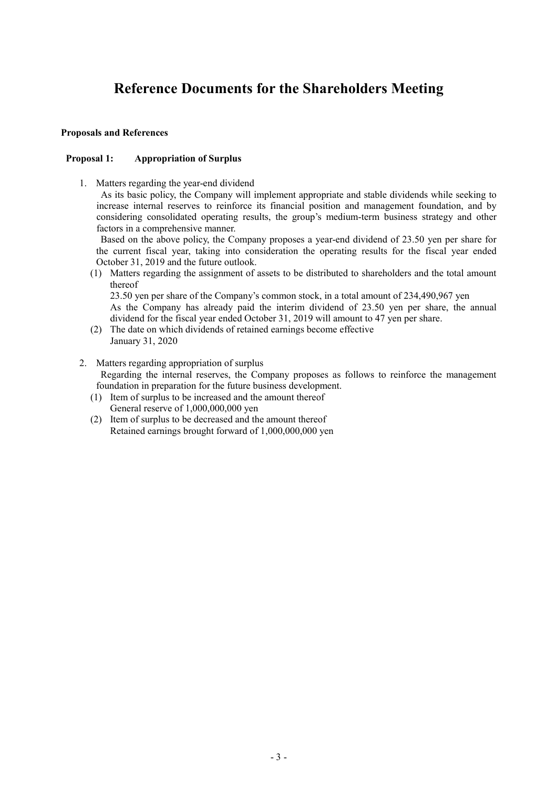# **Reference Documents for the Shareholders Meeting**

# **Proposals and References**

# **Proposal 1: Appropriation of Surplus**

1. Matters regarding the year-end dividend

As its basic policy, the Company will implement appropriate and stable dividends while seeking to increase internal reserves to reinforce its financial position and management foundation, and by considering consolidated operating results, the group's medium-term business strategy and other factors in a comprehensive manner.

Based on the above policy, the Company proposes a year-end dividend of 23.50 yen per share for the current fiscal year, taking into consideration the operating results for the fiscal year ended October 31, 2019 and the future outlook.

(1) Matters regarding the assignment of assets to be distributed to shareholders and the total amount thereof

23.50 yen per share of the Company's common stock, in a total amount of 234,490,967 yen

As the Company has already paid the interim dividend of 23.50 yen per share, the annual dividend for the fiscal year ended October 31, 2019 will amount to 47 yen per share.

- (2) The date on which dividends of retained earnings become effective January 31, 2020
- 2. Matters regarding appropriation of surplus Regarding the internal reserves, the Company proposes as follows to reinforce the management foundation in preparation for the future business development.
	- (1) Item of surplus to be increased and the amount thereof General reserve of 1,000,000,000 yen
	- (2) Item of surplus to be decreased and the amount thereof Retained earnings brought forward of 1,000,000,000 yen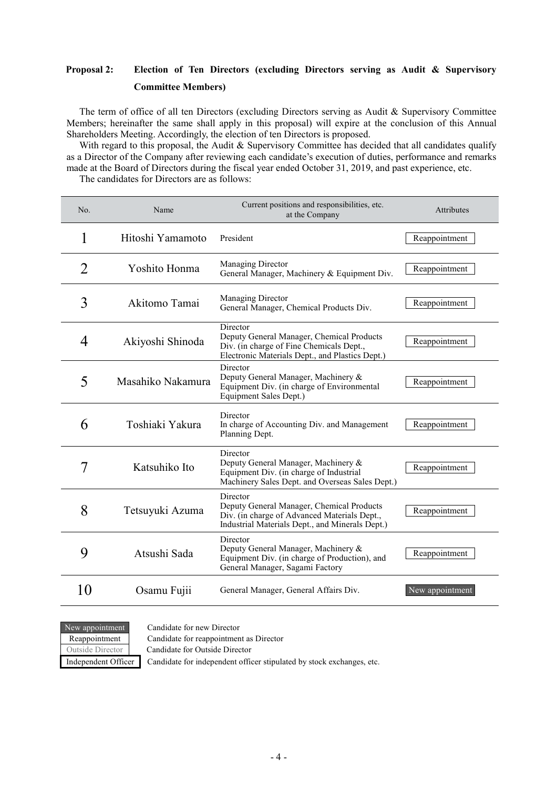# **Proposal 2: Election of Ten Directors (excluding Directors serving as Audit & Supervisory Committee Members)**

The term of office of all ten Directors (excluding Directors serving as Audit & Supervisory Committee Members; hereinafter the same shall apply in this proposal) will expire at the conclusion of this Annual Shareholders Meeting. Accordingly, the election of ten Directors is proposed.

With regard to this proposal, the Audit & Supervisory Committee has decided that all candidates qualify as a Director of the Company after reviewing each candidate's execution of duties, performance and remarks made at the Board of Directors during the fiscal year ended October 31, 2019, and past experience, etc. The candidates for Directors are as follows:

| No. | Name              | Current positions and responsibilities, etc.<br>at the Company                                                                                           | Attributes      |
|-----|-------------------|----------------------------------------------------------------------------------------------------------------------------------------------------------|-----------------|
| 1   | Hitoshi Yamamoto  | President                                                                                                                                                | Reappointment   |
| 2   | Yoshito Honma     | Managing Director<br>General Manager, Machinery & Equipment Div.                                                                                         | Reappointment   |
| 3   | Akitomo Tamai     | <b>Managing Director</b><br>General Manager, Chemical Products Div.                                                                                      | Reappointment   |
| 4   | Akiyoshi Shinoda  | Director<br>Deputy General Manager, Chemical Products<br>Div. (in charge of Fine Chemicals Dept.,<br>Electronic Materials Dept., and Plastics Dept.)     | Reappointment   |
| 5   | Masahiko Nakamura | Director<br>Deputy General Manager, Machinery &<br>Equipment Div. (in charge of Environmental<br>Equipment Sales Dept.)                                  | Reappointment   |
| 6   | Toshiaki Yakura   | Director<br>In charge of Accounting Div. and Management<br>Planning Dept.                                                                                | Reappointment   |
| 7   | Katsuhiko Ito     | Director<br>Deputy General Manager, Machinery &<br>Equipment Div. (in charge of Industrial<br>Machinery Sales Dept. and Overseas Sales Dept.)            | Reappointment   |
| 8   | Tetsuyuki Azuma   | Director<br>Deputy General Manager, Chemical Products<br>Div. (in charge of Advanced Materials Dept.,<br>Industrial Materials Dept., and Minerals Dept.) | Reappointment   |
| 9   | Atsushi Sada      | Director<br>Deputy General Manager, Machinery &<br>Equipment Div. (in charge of Production), and<br>General Manager, Sagami Factory                      | Reappointment   |
| 10  | Osamu Fujii       | General Manager, General Affairs Div.                                                                                                                    | New appointment |



New appointment Candidate for new Director

Reappointment | Candidate for reappointment as Director

Outside Director Candidate for Outside Director

Independent Officer Candidate for independent officer stipulated by stock exchanges, etc.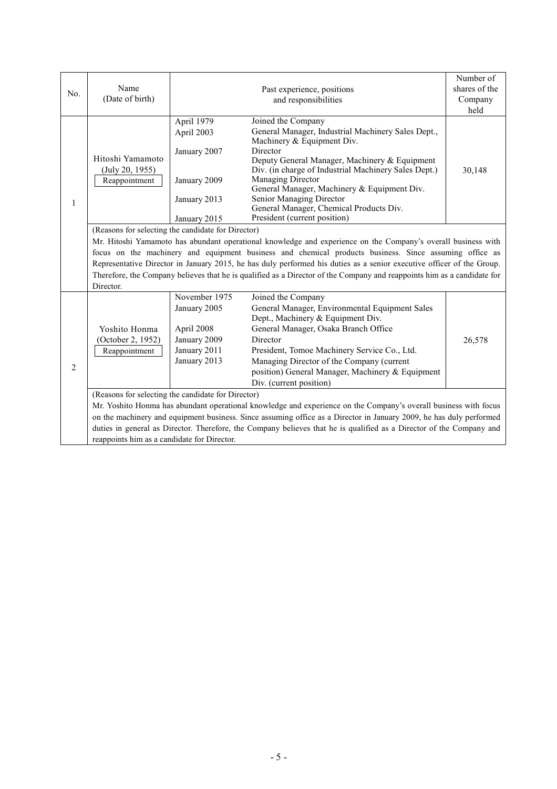|                                             | Name                                                                                                                    |               |                                                      | Number of<br>shares of the |  |  |
|---------------------------------------------|-------------------------------------------------------------------------------------------------------------------------|---------------|------------------------------------------------------|----------------------------|--|--|
| No.                                         | (Date of birth)                                                                                                         |               | Past experience, positions                           |                            |  |  |
|                                             |                                                                                                                         |               | and responsibilities                                 | Company                    |  |  |
|                                             |                                                                                                                         |               |                                                      | held                       |  |  |
|                                             |                                                                                                                         | April 1979    | Joined the Company                                   |                            |  |  |
|                                             |                                                                                                                         | April 2003    | General Manager, Industrial Machinery Sales Dept.,   |                            |  |  |
|                                             |                                                                                                                         |               | Machinery & Equipment Div.<br>Director               |                            |  |  |
|                                             | Hitoshi Yamamoto                                                                                                        | January 2007  | Deputy General Manager, Machinery & Equipment        |                            |  |  |
|                                             | (July 20, 1955)                                                                                                         |               | Div. (in charge of Industrial Machinery Sales Dept.) | 30,148                     |  |  |
|                                             | Reappointment                                                                                                           | January 2009  | Managing Director                                    |                            |  |  |
|                                             |                                                                                                                         |               | General Manager, Machinery & Equipment Div.          |                            |  |  |
| $\mathbf{1}$                                |                                                                                                                         | January 2013  | Senior Managing Director                             |                            |  |  |
|                                             |                                                                                                                         |               | General Manager, Chemical Products Div.              |                            |  |  |
|                                             |                                                                                                                         | January 2015  | President (current position)                         |                            |  |  |
|                                             | (Reasons for selecting the candidate for Director)                                                                      |               |                                                      |                            |  |  |
|                                             | Mr. Hitoshi Yamamoto has abundant operational knowledge and experience on the Company's overall business with           |               |                                                      |                            |  |  |
|                                             | focus on the machinery and equipment business and chemical products business. Since assuming office as                  |               |                                                      |                            |  |  |
|                                             | Representative Director in January 2015, he has duly performed his duties as a senior executive officer of the Group.   |               |                                                      |                            |  |  |
|                                             | Therefore, the Company believes that he is qualified as a Director of the Company and reappoints him as a candidate for |               |                                                      |                            |  |  |
|                                             | Director.                                                                                                               |               |                                                      |                            |  |  |
|                                             |                                                                                                                         | November 1975 | Joined the Company                                   |                            |  |  |
|                                             |                                                                                                                         | January 2005  | General Manager, Environmental Equipment Sales       |                            |  |  |
|                                             |                                                                                                                         |               | Dept., Machinery & Equipment Div.                    |                            |  |  |
|                                             | Yoshito Honma                                                                                                           | April 2008    | General Manager, Osaka Branch Office                 |                            |  |  |
|                                             | (October 2, 1952)                                                                                                       | January 2009  | Director                                             | 26,578                     |  |  |
|                                             | Reappointment                                                                                                           | January 2011  | President, Tomoe Machinery Service Co., Ltd.         |                            |  |  |
| $\overline{2}$                              |                                                                                                                         | January 2013  | Managing Director of the Company (current            |                            |  |  |
|                                             |                                                                                                                         |               | position) General Manager, Machinery & Equipment     |                            |  |  |
|                                             |                                                                                                                         |               | Div. (current position)                              |                            |  |  |
|                                             | (Reasons for selecting the candidate for Director)                                                                      |               |                                                      |                            |  |  |
|                                             | Mr. Yoshito Honma has abundant operational knowledge and experience on the Company's overall business with focus        |               |                                                      |                            |  |  |
|                                             | on the machinery and equipment business. Since assuming office as a Director in January 2009, he has duly performed     |               |                                                      |                            |  |  |
|                                             | duties in general as Director. Therefore, the Company believes that he is qualified as a Director of the Company and    |               |                                                      |                            |  |  |
| reappoints him as a candidate for Director. |                                                                                                                         |               |                                                      |                            |  |  |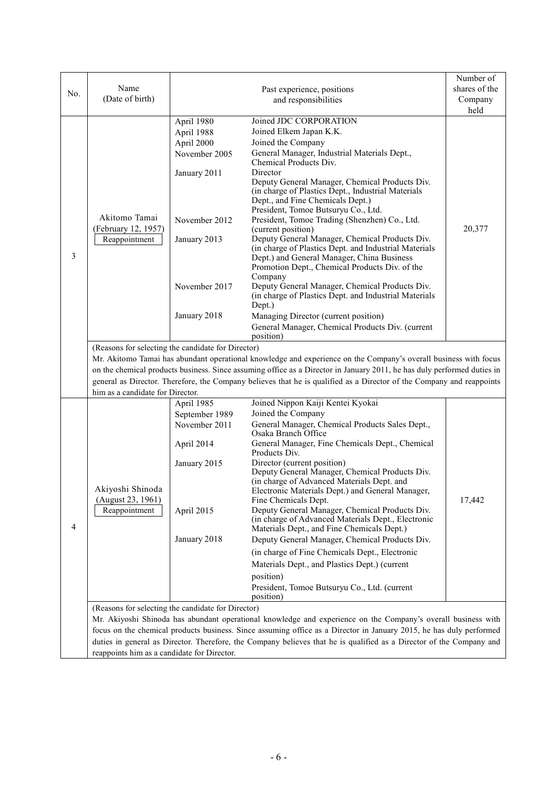| No. | Name<br>(Date of birth)                                                                                                                                                                                                                                                                                                                                                                                                                                                     |                                                                                                                                           | Past experience, positions<br>and responsibilities                                                                                                                                                                                                                                                                                                                                                                                                                                                                                                                                                                                                                                                                                                                                                                                                             | Number of<br>shares of the<br>Company<br>held |  |  |
|-----|-----------------------------------------------------------------------------------------------------------------------------------------------------------------------------------------------------------------------------------------------------------------------------------------------------------------------------------------------------------------------------------------------------------------------------------------------------------------------------|-------------------------------------------------------------------------------------------------------------------------------------------|----------------------------------------------------------------------------------------------------------------------------------------------------------------------------------------------------------------------------------------------------------------------------------------------------------------------------------------------------------------------------------------------------------------------------------------------------------------------------------------------------------------------------------------------------------------------------------------------------------------------------------------------------------------------------------------------------------------------------------------------------------------------------------------------------------------------------------------------------------------|-----------------------------------------------|--|--|
| 3   | Akitomo Tamai<br>(February 12, 1957)<br>Reappointment                                                                                                                                                                                                                                                                                                                                                                                                                       | April 1980<br>April 1988<br>April 2000<br>November 2005<br>January 2011<br>November 2012<br>January 2013<br>November 2017<br>January 2018 | Joined JDC CORPORATION<br>Joined Elkem Japan K.K.<br>Joined the Company<br>General Manager, Industrial Materials Dept.,<br>Chemical Products Div.<br>Director<br>Deputy General Manager, Chemical Products Div.<br>(in charge of Plastics Dept., Industrial Materials<br>Dept., and Fine Chemicals Dept.)<br>President, Tomoe Butsuryu Co., Ltd.<br>President, Tomoe Trading (Shenzhen) Co., Ltd.<br>(current position)<br>Deputy General Manager, Chemical Products Div.<br>(in charge of Plastics Dept. and Industrial Materials<br>Dept.) and General Manager, China Business<br>Promotion Dept., Chemical Products Div. of the<br>Company<br>Deputy General Manager, Chemical Products Div.<br>(in charge of Plastics Dept. and Industrial Materials<br>Dept.)<br>Managing Director (current position)<br>General Manager, Chemical Products Div. (current | 20,377                                        |  |  |
|     | position)<br>(Reasons for selecting the candidate for Director)<br>Mr. Akitomo Tamai has abundant operational knowledge and experience on the Company's overall business with focus<br>on the chemical products business. Since assuming office as a Director in January 2011, he has duly performed duties in<br>general as Director. Therefore, the Company believes that he is qualified as a Director of the Company and reappoints<br>him as a candidate for Director. |                                                                                                                                           |                                                                                                                                                                                                                                                                                                                                                                                                                                                                                                                                                                                                                                                                                                                                                                                                                                                                |                                               |  |  |
| 4   | Akiyoshi Shinoda<br>(August 23, 1961)<br>Reappointment                                                                                                                                                                                                                                                                                                                                                                                                                      | April 1985<br>September 1989<br>November 2011<br>April 2014<br>January 2015<br>April 2015<br>January 2018                                 | Joined Nippon Kaiji Kentei Kyokai<br>Joined the Company<br>General Manager, Chemical Products Sales Dept.,<br>Osaka Branch Office<br>General Manager, Fine Chemicals Dept., Chemical<br>Products Div.<br>Director (current position)<br>Deputy General Manager, Chemical Products Div.<br>(in charge of Advanced Materials Dept. and<br>Electronic Materials Dept.) and General Manager,<br>Fine Chemicals Dept.<br>Deputy General Manager, Chemical Products Div.<br>(in charge of Advanced Materials Dept., Electronic<br>Materials Dept., and Fine Chemicals Dept.)<br>Deputy General Manager, Chemical Products Div.<br>(in charge of Fine Chemicals Dept., Electronic<br>Materials Dept., and Plastics Dept.) (current<br>position)<br>President, Tomoe Butsuryu Co., Ltd. (current<br>position)                                                          | 17,442                                        |  |  |
|     | (Reasons for selecting the candidate for Director)<br>Mr. Akiyoshi Shinoda has abundant operational knowledge and experience on the Company's overall business with<br>focus on the chemical products business. Since assuming office as a Director in January 2015, he has duly performed<br>duties in general as Director. Therefore, the Company believes that he is qualified as a Director of the Company and<br>reappoints him as a candidate for Director.           |                                                                                                                                           |                                                                                                                                                                                                                                                                                                                                                                                                                                                                                                                                                                                                                                                                                                                                                                                                                                                                |                                               |  |  |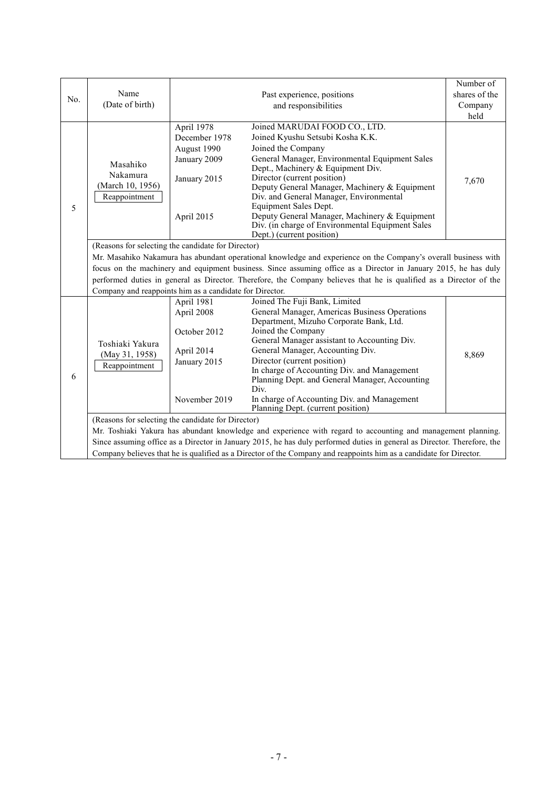|     |                                                                                                                          |               |                                                                        | Number of     |  |  |
|-----|--------------------------------------------------------------------------------------------------------------------------|---------------|------------------------------------------------------------------------|---------------|--|--|
| No. | Name                                                                                                                     |               | Past experience, positions                                             | shares of the |  |  |
|     | (Date of birth)                                                                                                          |               | and responsibilities                                                   | Company       |  |  |
|     |                                                                                                                          |               |                                                                        | held          |  |  |
|     |                                                                                                                          | April 1978    | Joined MARUDAI FOOD CO., LTD.                                          |               |  |  |
|     |                                                                                                                          | December 1978 | Joined Kyushu Setsubi Kosha K.K.                                       |               |  |  |
|     |                                                                                                                          | August 1990   | Joined the Company                                                     |               |  |  |
|     | Masahiko                                                                                                                 | January 2009  | General Manager, Environmental Equipment Sales                         |               |  |  |
|     |                                                                                                                          |               | Dept., Machinery & Equipment Div.                                      |               |  |  |
|     | Nakamura                                                                                                                 | January 2015  | Director (current position)                                            | 7,670         |  |  |
|     | (March 10, 1956)                                                                                                         |               | Deputy General Manager, Machinery & Equipment                          |               |  |  |
|     | Reappointment                                                                                                            |               | Div. and General Manager, Environmental                                |               |  |  |
| 5   |                                                                                                                          | April 2015    | Equipment Sales Dept.<br>Deputy General Manager, Machinery & Equipment |               |  |  |
|     |                                                                                                                          |               | Div. (in charge of Environmental Equipment Sales                       |               |  |  |
|     |                                                                                                                          |               | Dept.) (current position)                                              |               |  |  |
|     | (Reasons for selecting the candidate for Director)                                                                       |               |                                                                        |               |  |  |
|     | Mr. Masahiko Nakamura has abundant operational knowledge and experience on the Company's overall business with           |               |                                                                        |               |  |  |
|     | focus on the machinery and equipment business. Since assuming office as a Director in January 2015, he has duly          |               |                                                                        |               |  |  |
|     | performed duties in general as Director. Therefore, the Company believes that he is qualified as a Director of the       |               |                                                                        |               |  |  |
|     | Company and reappoints him as a candidate for Director.                                                                  |               |                                                                        |               |  |  |
|     |                                                                                                                          |               |                                                                        |               |  |  |
|     |                                                                                                                          | April 1981    | Joined The Fuji Bank, Limited                                          |               |  |  |
|     |                                                                                                                          | April 2008    | General Manager, Americas Business Operations                          |               |  |  |
|     | Toshiaki Yakura<br>(May 31, 1958)<br>Reappointment                                                                       |               | Department, Mizuho Corporate Bank, Ltd.<br>Joined the Company          |               |  |  |
|     |                                                                                                                          | October 2012  | General Manager assistant to Accounting Div.                           |               |  |  |
|     |                                                                                                                          | April 2014    | General Manager, Accounting Div.                                       |               |  |  |
|     |                                                                                                                          | January 2015  | Director (current position)                                            | 8,869         |  |  |
|     |                                                                                                                          |               | In charge of Accounting Div. and Management                            |               |  |  |
| 6   |                                                                                                                          |               | Planning Dept. and General Manager, Accounting                         |               |  |  |
|     |                                                                                                                          |               | Div.                                                                   |               |  |  |
|     |                                                                                                                          | November 2019 | In charge of Accounting Div. and Management                            |               |  |  |
|     |                                                                                                                          |               | Planning Dept. (current position)                                      |               |  |  |
|     | (Reasons for selecting the candidate for Director)                                                                       |               |                                                                        |               |  |  |
|     | Mr. Toshiaki Yakura has abundant knowledge and experience with regard to accounting and management planning.             |               |                                                                        |               |  |  |
|     | Since assuming office as a Director in January 2015, he has duly performed duties in general as Director. Therefore, the |               |                                                                        |               |  |  |
|     | Company believes that he is qualified as a Director of the Company and reappoints him as a candidate for Director.       |               |                                                                        |               |  |  |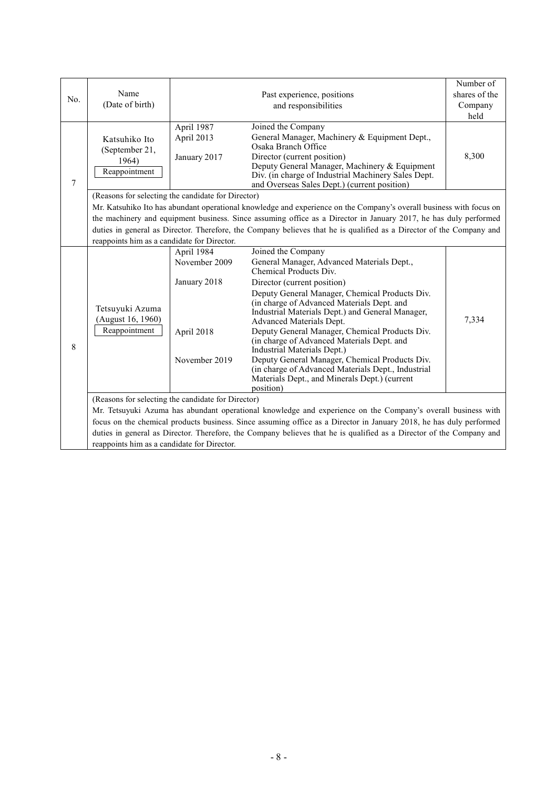| No. | Name<br>(Date of birth)                                                                                              |                                          | Past experience, positions<br>and responsibilities                                                                                                                                                                                                                                                          | Number of<br>shares of the<br>Company<br>held |  |  |
|-----|----------------------------------------------------------------------------------------------------------------------|------------------------------------------|-------------------------------------------------------------------------------------------------------------------------------------------------------------------------------------------------------------------------------------------------------------------------------------------------------------|-----------------------------------------------|--|--|
| 7   | Katsuhiko Ito<br>(September 21,<br>1964)<br>Reappointment                                                            | April 1987<br>April 2013<br>January 2017 | Joined the Company<br>General Manager, Machinery & Equipment Dept.,<br>Osaka Branch Office<br>Director (current position)<br>Deputy General Manager, Machinery & Equipment<br>Div. (in charge of Industrial Machinery Sales Dept.<br>and Overseas Sales Dept.) (current position)                           | 8,300                                         |  |  |
|     | (Reasons for selecting the candidate for Director)                                                                   |                                          |                                                                                                                                                                                                                                                                                                             |                                               |  |  |
|     |                                                                                                                      |                                          | Mr. Katsuhiko Ito has abundant operational knowledge and experience on the Company's overall business with focus on                                                                                                                                                                                         |                                               |  |  |
|     |                                                                                                                      |                                          | the machinery and equipment business. Since assuming office as a Director in January 2017, he has duly performed                                                                                                                                                                                            |                                               |  |  |
|     |                                                                                                                      |                                          | duties in general as Director. Therefore, the Company believes that he is qualified as a Director of the Company and                                                                                                                                                                                        |                                               |  |  |
|     | reappoints him as a candidate for Director.                                                                          |                                          |                                                                                                                                                                                                                                                                                                             |                                               |  |  |
|     |                                                                                                                      | April 1984<br>November 2009              | Joined the Company<br>General Manager, Advanced Materials Dept.,<br>Chemical Products Div.                                                                                                                                                                                                                  |                                               |  |  |
|     |                                                                                                                      | January 2018                             | Director (current position)                                                                                                                                                                                                                                                                                 |                                               |  |  |
| 8   | Tetsuyuki Azuma<br>(August 16, 1960)<br>Reappointment                                                                | April 2018                               | Deputy General Manager, Chemical Products Div.<br>(in charge of Advanced Materials Dept. and<br>Industrial Materials Dept.) and General Manager,<br>Advanced Materials Dept.<br>Deputy General Manager, Chemical Products Div.<br>(in charge of Advanced Materials Dept. and<br>Industrial Materials Dept.) | 7,334                                         |  |  |
|     |                                                                                                                      | November 2019                            | Deputy General Manager, Chemical Products Div.<br>(in charge of Advanced Materials Dept., Industrial<br>Materials Dept., and Minerals Dept.) (current<br>position)                                                                                                                                          |                                               |  |  |
|     | (Reasons for selecting the candidate for Director)                                                                   |                                          |                                                                                                                                                                                                                                                                                                             |                                               |  |  |
|     | Mr. Tetsuyuki Azuma has abundant operational knowledge and experience on the Company's overall business with         |                                          |                                                                                                                                                                                                                                                                                                             |                                               |  |  |
|     | focus on the chemical products business. Since assuming office as a Director in January 2018, he has duly performed  |                                          |                                                                                                                                                                                                                                                                                                             |                                               |  |  |
|     | duties in general as Director. Therefore, the Company believes that he is qualified as a Director of the Company and |                                          |                                                                                                                                                                                                                                                                                                             |                                               |  |  |
|     | reappoints him as a candidate for Director.                                                                          |                                          |                                                                                                                                                                                                                                                                                                             |                                               |  |  |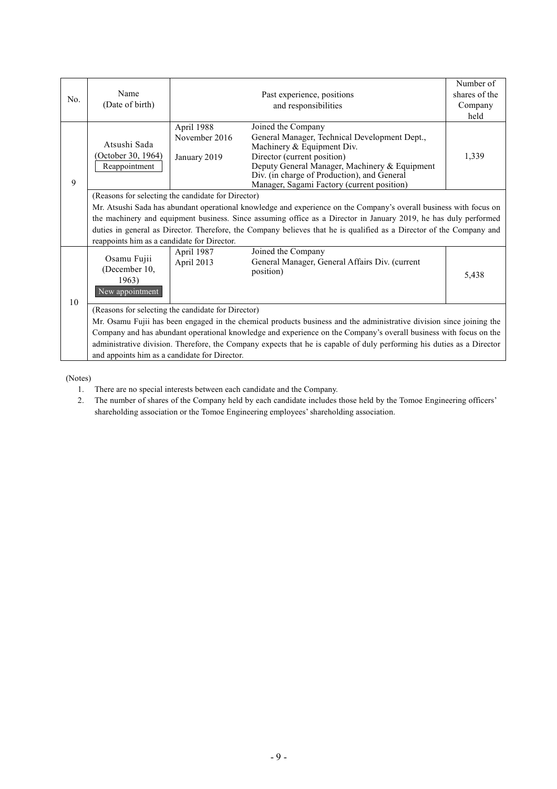| Name<br>Past experience, positions<br>No.<br>(Date of birth)<br>and responsibilities<br>Company<br>held<br>Joined the Company<br>April 1988<br>General Manager, Technical Development Dept.,<br>November 2016<br>Atsushi Sada<br>Machinery & Equipment Div.<br>(October 30, 1964)<br>1,339<br>Director (current position)<br>January 2019<br>Deputy General Manager, Machinery & Equipment<br>Reappointment<br>Div. (in charge of Production), and General<br>9<br>Manager, Sagami Factory (current position)<br>(Reasons for selecting the candidate for Director)<br>Mr. Atsushi Sada has abundant operational knowledge and experience on the Company's overall business with focus on<br>the machinery and equipment business. Since assuming office as a Director in January 2019, he has duly performed<br>duties in general as Director. Therefore, the Company believes that he is qualified as a Director of the Company and<br>reappoints him as a candidate for Director.<br>Joined the Company<br>April 1987<br>Osamu Fujii<br>General Manager, General Affairs Div. (current<br>April 2013<br>(December 10,<br>position) |  |       |  | Number of     |  |  |
|---------------------------------------------------------------------------------------------------------------------------------------------------------------------------------------------------------------------------------------------------------------------------------------------------------------------------------------------------------------------------------------------------------------------------------------------------------------------------------------------------------------------------------------------------------------------------------------------------------------------------------------------------------------------------------------------------------------------------------------------------------------------------------------------------------------------------------------------------------------------------------------------------------------------------------------------------------------------------------------------------------------------------------------------------------------------------------------------------------------------------------------|--|-------|--|---------------|--|--|
|                                                                                                                                                                                                                                                                                                                                                                                                                                                                                                                                                                                                                                                                                                                                                                                                                                                                                                                                                                                                                                                                                                                                       |  |       |  | shares of the |  |  |
|                                                                                                                                                                                                                                                                                                                                                                                                                                                                                                                                                                                                                                                                                                                                                                                                                                                                                                                                                                                                                                                                                                                                       |  |       |  |               |  |  |
|                                                                                                                                                                                                                                                                                                                                                                                                                                                                                                                                                                                                                                                                                                                                                                                                                                                                                                                                                                                                                                                                                                                                       |  |       |  |               |  |  |
|                                                                                                                                                                                                                                                                                                                                                                                                                                                                                                                                                                                                                                                                                                                                                                                                                                                                                                                                                                                                                                                                                                                                       |  |       |  |               |  |  |
|                                                                                                                                                                                                                                                                                                                                                                                                                                                                                                                                                                                                                                                                                                                                                                                                                                                                                                                                                                                                                                                                                                                                       |  |       |  |               |  |  |
|                                                                                                                                                                                                                                                                                                                                                                                                                                                                                                                                                                                                                                                                                                                                                                                                                                                                                                                                                                                                                                                                                                                                       |  |       |  |               |  |  |
|                                                                                                                                                                                                                                                                                                                                                                                                                                                                                                                                                                                                                                                                                                                                                                                                                                                                                                                                                                                                                                                                                                                                       |  |       |  |               |  |  |
|                                                                                                                                                                                                                                                                                                                                                                                                                                                                                                                                                                                                                                                                                                                                                                                                                                                                                                                                                                                                                                                                                                                                       |  |       |  |               |  |  |
|                                                                                                                                                                                                                                                                                                                                                                                                                                                                                                                                                                                                                                                                                                                                                                                                                                                                                                                                                                                                                                                                                                                                       |  |       |  |               |  |  |
|                                                                                                                                                                                                                                                                                                                                                                                                                                                                                                                                                                                                                                                                                                                                                                                                                                                                                                                                                                                                                                                                                                                                       |  |       |  |               |  |  |
|                                                                                                                                                                                                                                                                                                                                                                                                                                                                                                                                                                                                                                                                                                                                                                                                                                                                                                                                                                                                                                                                                                                                       |  |       |  |               |  |  |
|                                                                                                                                                                                                                                                                                                                                                                                                                                                                                                                                                                                                                                                                                                                                                                                                                                                                                                                                                                                                                                                                                                                                       |  |       |  |               |  |  |
|                                                                                                                                                                                                                                                                                                                                                                                                                                                                                                                                                                                                                                                                                                                                                                                                                                                                                                                                                                                                                                                                                                                                       |  |       |  |               |  |  |
|                                                                                                                                                                                                                                                                                                                                                                                                                                                                                                                                                                                                                                                                                                                                                                                                                                                                                                                                                                                                                                                                                                                                       |  |       |  |               |  |  |
|                                                                                                                                                                                                                                                                                                                                                                                                                                                                                                                                                                                                                                                                                                                                                                                                                                                                                                                                                                                                                                                                                                                                       |  |       |  |               |  |  |
|                                                                                                                                                                                                                                                                                                                                                                                                                                                                                                                                                                                                                                                                                                                                                                                                                                                                                                                                                                                                                                                                                                                                       |  |       |  |               |  |  |
|                                                                                                                                                                                                                                                                                                                                                                                                                                                                                                                                                                                                                                                                                                                                                                                                                                                                                                                                                                                                                                                                                                                                       |  |       |  |               |  |  |
|                                                                                                                                                                                                                                                                                                                                                                                                                                                                                                                                                                                                                                                                                                                                                                                                                                                                                                                                                                                                                                                                                                                                       |  | 1963) |  | 5,438         |  |  |
| New appointment                                                                                                                                                                                                                                                                                                                                                                                                                                                                                                                                                                                                                                                                                                                                                                                                                                                                                                                                                                                                                                                                                                                       |  |       |  |               |  |  |
| 10                                                                                                                                                                                                                                                                                                                                                                                                                                                                                                                                                                                                                                                                                                                                                                                                                                                                                                                                                                                                                                                                                                                                    |  |       |  |               |  |  |
| (Reasons for selecting the candidate for Director)                                                                                                                                                                                                                                                                                                                                                                                                                                                                                                                                                                                                                                                                                                                                                                                                                                                                                                                                                                                                                                                                                    |  |       |  |               |  |  |
| Mr. Osamu Fujii has been engaged in the chemical products business and the administrative division since joining the                                                                                                                                                                                                                                                                                                                                                                                                                                                                                                                                                                                                                                                                                                                                                                                                                                                                                                                                                                                                                  |  |       |  |               |  |  |
| Company and has abundant operational knowledge and experience on the Company's overall business with focus on the                                                                                                                                                                                                                                                                                                                                                                                                                                                                                                                                                                                                                                                                                                                                                                                                                                                                                                                                                                                                                     |  |       |  |               |  |  |
| administrative division. Therefore, the Company expects that he is capable of duly performing his duties as a Director                                                                                                                                                                                                                                                                                                                                                                                                                                                                                                                                                                                                                                                                                                                                                                                                                                                                                                                                                                                                                |  |       |  |               |  |  |
| and appoints him as a candidate for Director.                                                                                                                                                                                                                                                                                                                                                                                                                                                                                                                                                                                                                                                                                                                                                                                                                                                                                                                                                                                                                                                                                         |  |       |  |               |  |  |

(Notes)

- 1. There are no special interests between each candidate and the Company.
- 2. The number of shares of the Company held by each candidate includes those held by the Tomoe Engineering officers' shareholding association or the Tomoe Engineering employees'shareholding association.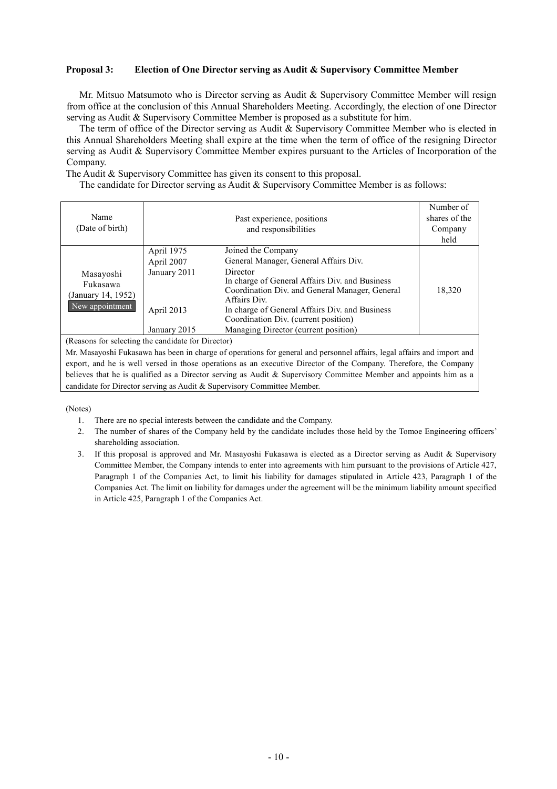#### **Proposal 3: Election of One Director serving as Audit & Supervisory Committee Member**

Mr. Mitsuo Matsumoto who is Director serving as Audit & Supervisory Committee Member will resign from office at the conclusion of this Annual Shareholders Meeting. Accordingly, the election of one Director serving as Audit & Supervisory Committee Member is proposed as a substitute for him.

The term of office of the Director serving as Audit & Supervisory Committee Member who is elected in this Annual Shareholders Meeting shall expire at the time when the term of office of the resigning Director serving as Audit & Supervisory Committee Member expires pursuant to the Articles of Incorporation of the Company.

The Audit & Supervisory Committee has given its consent to this proposal.

The candidate for Director serving as Audit & Supervisory Committee Member is as follows:

| Name<br>(Date of birth)                                                                                                 |              | Past experience, positions<br>and responsibilities                                                               | Number of<br>shares of the<br>Company<br>held |  |
|-------------------------------------------------------------------------------------------------------------------------|--------------|------------------------------------------------------------------------------------------------------------------|-----------------------------------------------|--|
|                                                                                                                         | April 1975   | Joined the Company                                                                                               |                                               |  |
|                                                                                                                         | April 2007   | General Manager, General Affairs Div.                                                                            |                                               |  |
| Masayoshi                                                                                                               | January 2011 | Director                                                                                                         |                                               |  |
| Fukasawa<br>(January 14, 1952)                                                                                          |              | In charge of General Affairs Div. and Business<br>Coordination Div. and General Manager, General<br>Affairs Div. | 18,320                                        |  |
| New appointment                                                                                                         | April 2013   | In charge of General Affairs Div. and Business<br>Coordination Div. (current position)                           |                                               |  |
|                                                                                                                         | January 2015 | Managing Director (current position)                                                                             |                                               |  |
| (Reasons for selecting the candidate for Director)                                                                      |              |                                                                                                                  |                                               |  |
| Mr. Masayoshi Fukasawa has been in charge of operations for general and personnel affairs, legal affairs and import and |              |                                                                                                                  |                                               |  |

export, and he is well versed in those operations as an executive Director of the Company. Therefore, the Company believes that he is qualified as a Director serving as Audit & Supervisory Committee Member and appoints him as a candidate for Director serving as Audit & Supervisory Committee Member.

(Notes)

- 1. There are no special interests between the candidate and the Company.
- 2. The number of shares of the Company held by the candidate includes those held by the Tomoe Engineering officers' shareholding association.
- 3. If this proposal is approved and Mr. Masayoshi Fukasawa is elected as a Director serving as Audit & Supervisory Committee Member, the Company intends to enter into agreements with him pursuant to the provisions of Article 427, Paragraph 1 of the Companies Act, to limit his liability for damages stipulated in Article 423, Paragraph 1 of the Companies Act. The limit on liability for damages under the agreement will be the minimum liability amount specified in Article 425, Paragraph 1 of the Companies Act.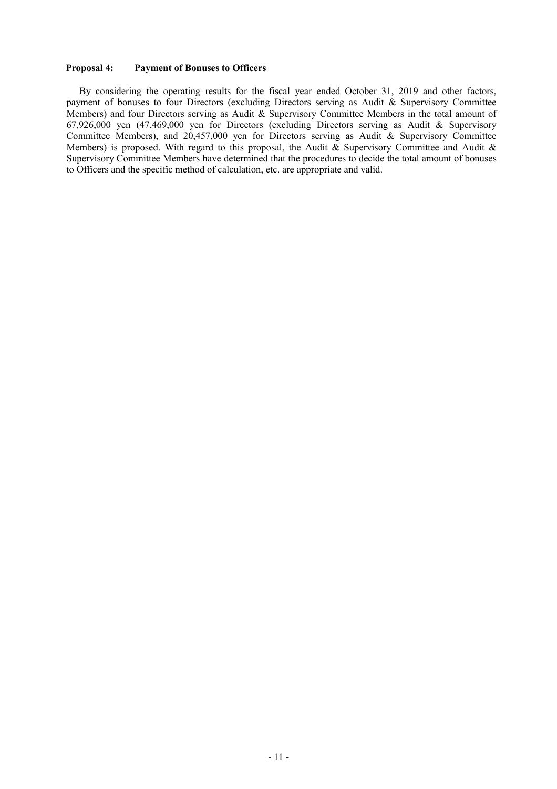#### **Proposal 4: Payment of Bonuses to Officers**

By considering the operating results for the fiscal year ended October 31, 2019 and other factors, payment of bonuses to four Directors (excluding Directors serving as Audit & Supervisory Committee Members) and four Directors serving as Audit & Supervisory Committee Members in the total amount of 67,926,000 yen (47,469,000 yen for Directors (excluding Directors serving as Audit & Supervisory Committee Members), and 20,457,000 yen for Directors serving as Audit & Supervisory Committee Members) is proposed. With regard to this proposal, the Audit & Supervisory Committee and Audit & Supervisory Committee Members have determined that the procedures to decide the total amount of bonuses to Officers and the specific method of calculation, etc. are appropriate and valid.